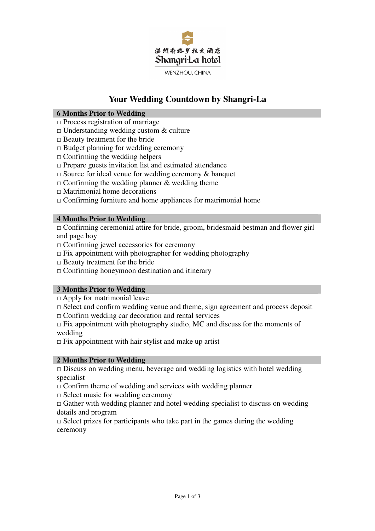

# **Your Wedding Countdown by Shangri-La**

## **6 Months Prior to Wedding**

- $\square$  Process registration of marriage
- $\Box$  Understanding wedding custom & culture
- $\Box$  Beauty treatment for the bride
- $\Box$  Budget planning for wedding ceremony
- $\Box$  Confirming the wedding helpers
- $\Box$  Prepare guests invitation list and estimated attendance
- $\square$  Source for ideal venue for wedding ceremony & banquet
- $\Box$  Confirming the wedding planner & wedding theme
- □ Matrimonial home decorations
- $\Box$  Confirming furniture and home appliances for matrimonial home

### **4 Months Prior to Wedding**

□ Confirming ceremonial attire for bride, groom, bridesmaid bestman and flower girl and page boy

- □ Confirming jewel accessories for ceremony
- $\Box$  Fix appointment with photographer for wedding photography
- $\Box$  Beauty treatment for the bride
- $\Box$  Confirming honeymoon destination and itinerary

# **3 Months Prior to Wedding**

 $\Box$  Apply for matrimonial leave

- $\Box$  Select and confirm wedding venue and theme, sign agreement and process deposit
- $\Box$  Confirm wedding car decoration and rental services

 $\Box$  Fix appointment with photography studio, MC and discuss for the moments of wedding

 $\Box$  Fix appointment with hair stylist and make up artist

### **2 Months Prior to Wedding**

 $\Box$  Discuss on wedding menu, beverage and wedding logistics with hotel wedding specialist

 $\Box$  Confirm theme of wedding and services with wedding planner

 $\Box$  Select music for wedding ceremony

 $\Box$  Gather with wedding planner and hotel wedding specialist to discuss on wedding details and program

 $\Box$  Select prizes for participants who take part in the games during the wedding ceremony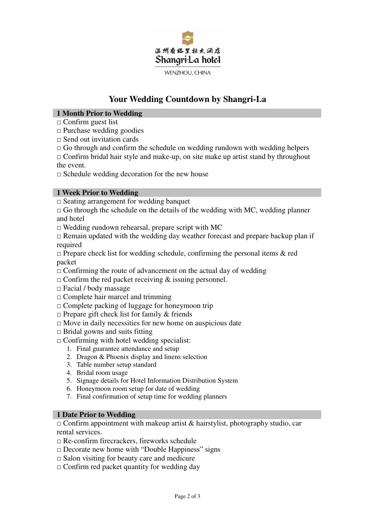

# **Your Wedding Countdown by Shangri-La**

# **1 Month Prior to Wedding**

- $\Box$  Confirm guest list
- $\Box$  Purchase wedding goodies
- $\Box$  Send out invitation cards
- $\Box$  Go through and confirm the schedule on wedding rundown with wedding helpers

 $\Box$  Confirm bridal hair style and make-up, on site make up artist stand by throughout the event.

 $\square$  Schedule wedding decoration for the new house

## **1 Week Prior to Wedding**

 $\Box$  Seating arrangement for wedding banquet

 $\Box$  Go through the schedule on the details of the wedding with MC, wedding planner and hotel

 $\square$  Wedding rundown rehearsal, prepare script with MC

 $\Box$  Remain updated with the wedding day weather forecast and prepare backup plan if required

 $\Box$  Prepare check list for wedding schedule, confirming the personal items & red packet

- $\Box$  Confirming the route of advancement on the actual day of wedding
- $\Box$  Confirm the red packet receiving & issuing personnel.
- $\Box$  Facial / body massage
- $\Box$  Complete hair marcel and trimming
- $\Box$  Complete packing of luggage for honeymoon trip
- $\Box$  Prepare gift check list for family & friends
- $\Box$  Move in daily necessities for new home on auspicious date
- $\Box$  Bridal gowns and suits fitting
- $\Box$  Confirming with hotel wedding specialist:
	- 1. Final guarantee attendance and setup
	- 2. Dragon & Phoenix display and linens selection
	- 3. Table number setup standard
	- 4. Bridal room usage
	- 5. Signage details for Hotel Information Distribution System
	- 6. Honeymoon room setup for date of wedding
	- 7. Final confirmation of setup time for wedding planners

#### **1 Date Prior to Wedding**

 $\Box$  Confirm appointment with makeup artist & hairstylist, photography studio, car rental services.

 $\nabla \mathbf{R}$  Re-confirm firecrackers, fireworks schedule

- $\square$  Decorate new home with "Double Happiness" signs
- $\square$  Salon visiting for beauty care and medicure
- $\Box$  Confirm red packet quantity for wedding day